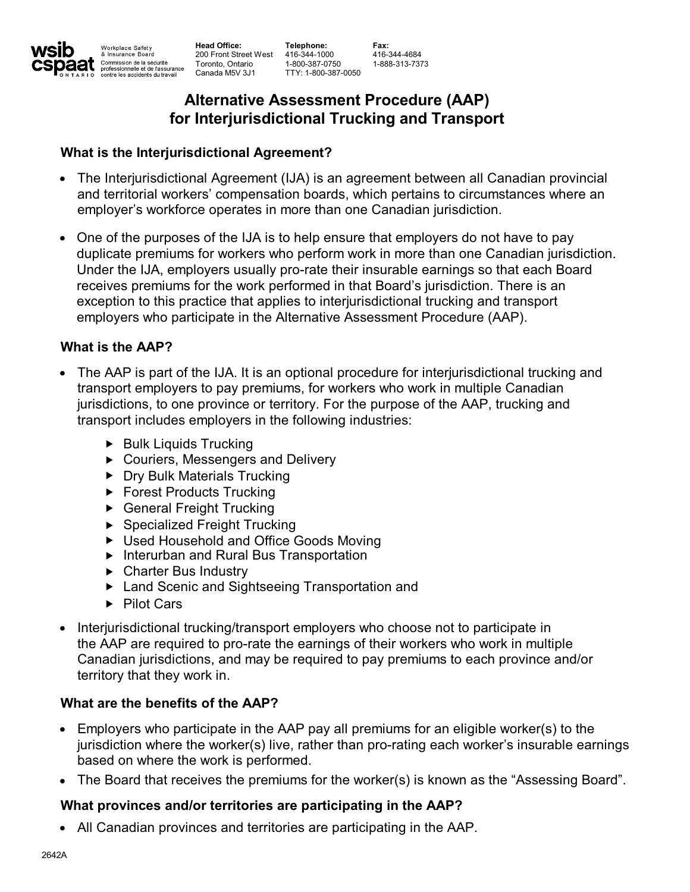**Head Office:** Commission de la sécurité<br>professionnelle et de l'assurance<br>contre les accidents du travail **Toronto, Ontario Canada M5V 3J1**

**200 Front Street West 416-344-1000 Telephone: 1-800-387-0750 TTY: 1-800-387-0050**

**Fax: 416-344-4684 1-888-313-7373**

# **Alternative Assessment Procedure (AAP) for Interjurisdictional Trucking and Transport**

## **What is the Interjurisdictional Agreement?**

- **The Interjurisdictional Agreement (IJA) is an agreement between all Canadian provincial and territorial workers' compensation boards, which pertains to circumstances where an employer's workforce operates in more than one Canadian jurisdiction. •**
- **One of the purposes of the IJA is to help ensure that employers do not have to pay duplicate premiums for workers who perform work in more than one Canadian jurisdiction. Under the IJA, employers usually pro-rate their insurable earnings so that each Board receives premiums for the work performed in that Board's jurisdiction. There is an exception to this practice that applies to interjurisdictional trucking and transport employers who participate in the Alternative Assessment Procedure (AAP). •**

## **What is the AAP?**

Workplace Safety<br>& Insurance Board

- **The AAP is part of the IJA. It is an optional procedure for interjurisdictional trucking and • transport employers to pay premiums, for workers who work in multiple Canadian jurisdictions, to one province or territory. For the purpose of the AAP, trucking and transport includes employers in the following industries:**
	- **<sup>υ</sup> Bulk Liquids Trucking**
	- **<sup>υ</sup> Couriers, Messengers and Delivery**
	- **<sup>υ</sup> Dry Bulk Materials Trucking**
	- **<sup>υ</sup> Forest Products Trucking**
	- **<sup>υ</sup> General Freight Trucking**
	- **<sup>υ</sup> Specialized Freight Trucking**
	- **<sup>υ</sup> Used Household and Office Goods Moving**
	- **<sup>υ</sup> Interurban and Rural Bus Transportation**
	- **<sup>υ</sup> Charter Bus Industry**
	- **<sup>υ</sup> Land Scenic and Sightseeing Transportation and**
	- **<sup>υ</sup> Pilot Cars**
- **Interjurisdictional trucking/transport employers who choose not to participate in the AAP are required to pro-rate the earnings of their workers who work in multiple Canadian jurisdictions, and may be required to pay premiums to each province and/or territory that they work in. •**

# **What are the benefits of the AAP?**

- **Employers who participate in the AAP pay all premiums for an eligible worker(s) to the based on where the work is performed. • jurisdiction where the worker(s) live, rather than pro-rating each worker's insurable earnings**
- **• The Board that receives the premiums for the worker(s) is known as the "Assessing Board".**

# **What provinces and/or territories are participating in the AAP?**

**• All Canadian provinces and territories are participating in the AAP.**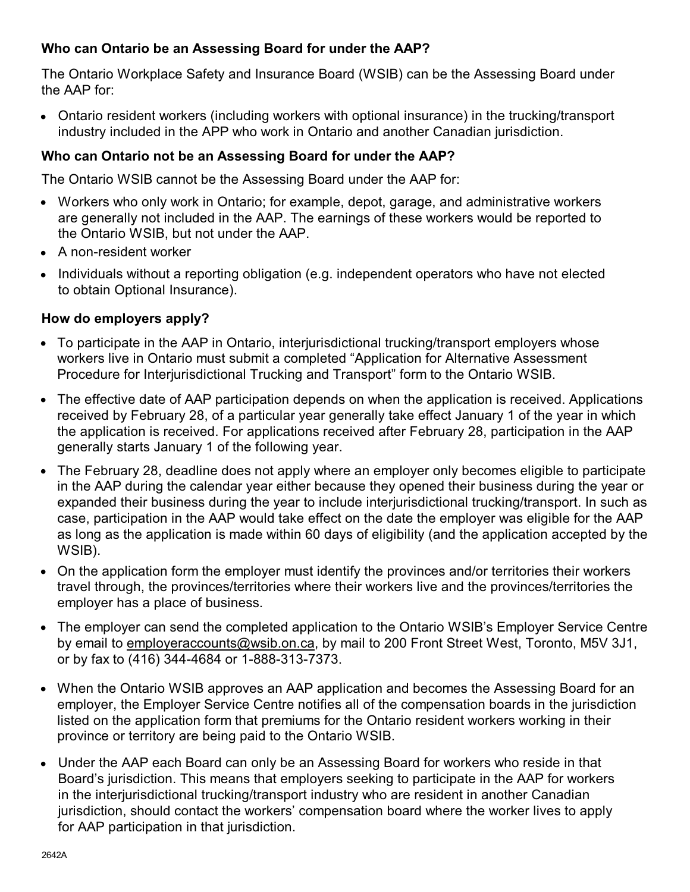## **Who can Ontario be an Assessing Board for under the AAP?**

**The Ontario Workplace Safety and Insurance Board (WSIB) can be the Assessing Board under the AAP for:**

**Ontario resident workers (including workers with optional insurance) in the trucking/transport industry included in the APP who work in Ontario and another Canadian jurisdiction. •**

## **Who can Ontario not be an Assessing Board for under the AAP?**

**The Ontario WSIB cannot be the Assessing Board under the AAP for:**

- **Workers who only work in Ontario; for example, depot, garage, and administrative workers are generally not included in the AAP. The earnings of these workers would be reported to** • Workers who only work in Ontario; for example, c<br>are generally not included in the AAP. The earnir<br>the Ontario WSIB, but not under the AAP.
- **• A non-resident worker**
- **Individuals without a reporting obligation (e.g. independent operators who have not elected to obtain Optional Insurance). •**

### **How do employers apply?**

- **To participate in the AAP in Ontario, interjurisdictional trucking/transport employers whose workers live in Ontario must submit a completed "Application for Alternative Assessment Procedure for Interjurisdictional Trucking and Transport" form to the Ontario WSIB. •**
- **The effective date of AAP participation depends on when the application is received. Applications • received by February 28, of a particular year generally take effect January 1 of the year in which the application is received. For applications received after February 28, participation in the AAP generally starts January 1 of the following year.**
- **The February 28, deadline does not apply where an employer only becomes eligible to participate • in the AAP during the calendar year either because they opened their business during the year or expanded their business during the year to include interjurisdictional trucking/transport. In such as case, participation in the AAP would take effect on the date the employer was eligible for the AAP as long as the application is made within 60 days of eligibility (and the application accepted by the WSIB).**
- **On the application form the employer must identify the provinces and/or territories their workers travel through, the provinces/territories where their workers live and the provinces/territories the** • On the application form the employer mus<br>travel through, the provinces/territories wl<br>employer has a place of business.
- **The employer can send the completed application to the Ontario WSIB's Employer Service Centre by email to employeraccounts@wsib.on.ca, by mail to 200 Front Street West, Toronto, M5V 3J1, o** The employer can send the completed application to the by email to <u>employeraccounts@wsib.on.ca</u>, by mail to a<br>The fax to (416) 344-4684 or 1-888-313-7373.
- **When the Ontario WSIB approves an AAP application and becomes the Assessing Board for an • employer, the Employer Service Centre notifies all of the compensation boards in the jurisdiction listed on the application form that premiums for the Ontario resident workers working in their province or territory are being paid to the Ontario WSIB.**
- **Under the AAP each Board can only be an Assessing Board for workers who reside in that • Board's jurisdiction. This means that employers seeking to participate in the AAP for workers in the interjurisdictional trucking/transport industry who are resident in another Canadian jurisdiction, should contact the workers' compensation board where the worker lives to apply for AAP participation in that jurisdiction.**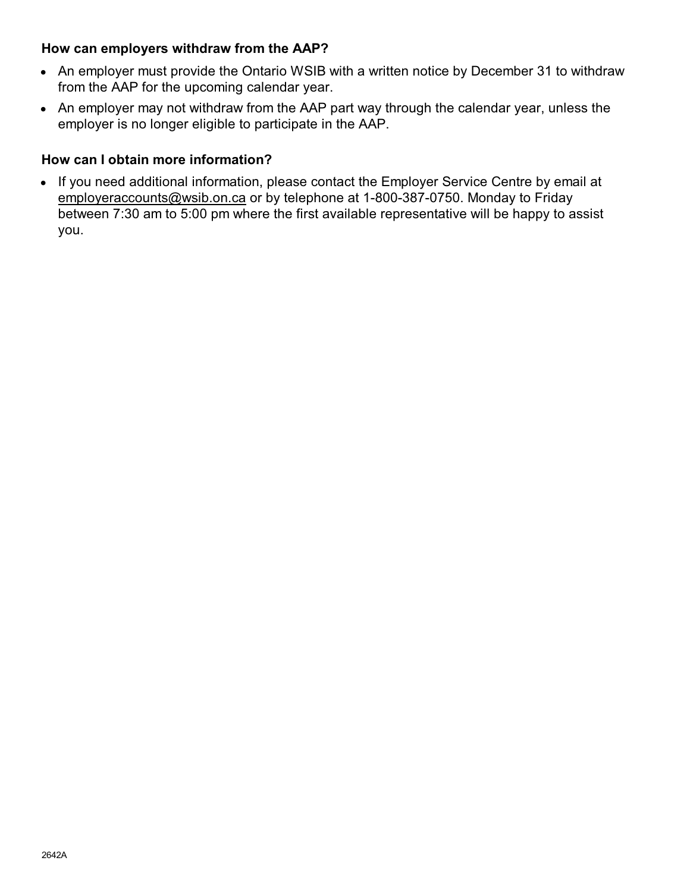### **How can employers withdraw from the AAP?**

- **An employer must provide the Ontario WSIB with a written notice by December 31 to withdraw from the AAP for the upcoming calendar year. •**
- **An employer may not withdraw from the AAP part way through the calendar year, unless the employer is no longer eligible to participate in the AAP. •**

## **How can I obtain more information?**

**If you need additional information, please contact the Employer Service Centre by email at • employeraccounts@wsib.on.ca or by telephone at 1-800-387-0750. Monday to Friday between 7:30 am to 5:00 pm where the first available representative will be happy to assist you.**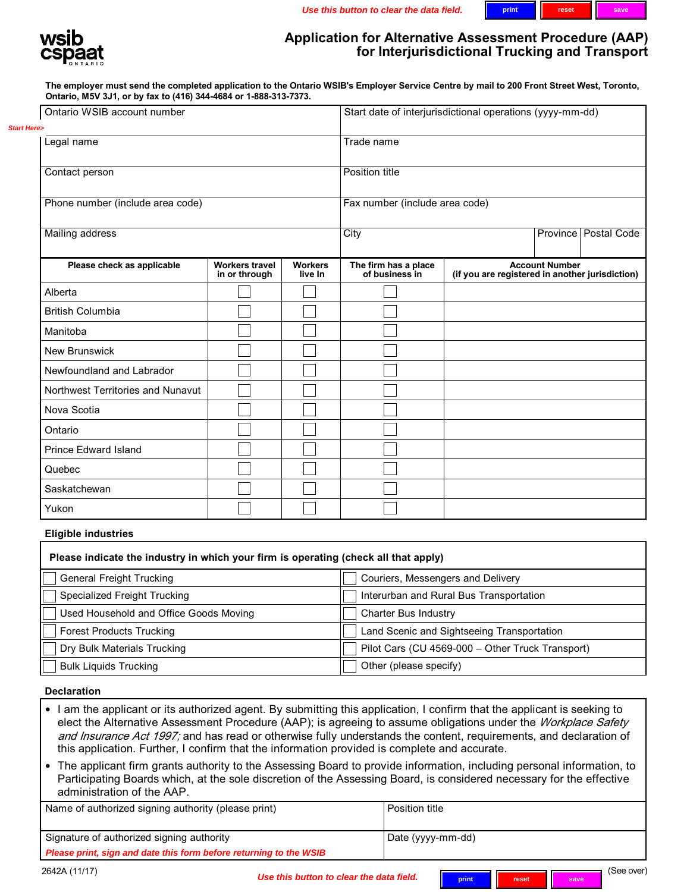

### **Application for Alternative Assessment Procedure (AAP) for Interjurisdictional Trucking and Transport**

**The employer must send the completed application to the Ontario WSIB's Employer Service Centre by mail to 200 Front Street West, Toronto, Ontario, M5V 3J1, or by fax to (416) 344-4684 or 1-888-313-7373.**

| Ontario WSIB account number                                                  |  | Start date of interjurisdictional operations (yyyy-mm-dd) |                                                  |                                        |                           |
|------------------------------------------------------------------------------|--|-----------------------------------------------------------|--------------------------------------------------|----------------------------------------|---------------------------|
| <b>Start Here&gt;</b>                                                        |  |                                                           |                                                  |                                        |                           |
| Legal name                                                                   |  |                                                           | Trade name                                       |                                        |                           |
| Contact person<br>Phone number (include area code)<br><b>Mailing address</b> |  |                                                           | Position title<br>Fax number (include area code) |                                        |                           |
|                                                                              |  |                                                           |                                                  |                                        |                           |
|                                                                              |  |                                                           | Please check as applicable                       | <b>Workers travel</b><br>in or through | <b>Workers</b><br>live In |
| Alberta                                                                      |  |                                                           |                                                  |                                        |                           |
| <b>British Columbia</b>                                                      |  |                                                           |                                                  |                                        |                           |
| Manitoba                                                                     |  |                                                           |                                                  |                                        |                           |
| New Brunswick                                                                |  |                                                           |                                                  |                                        |                           |
| Newfoundland and Labrador                                                    |  |                                                           |                                                  |                                        |                           |
| Northwest Territories and Nunavut                                            |  |                                                           |                                                  |                                        |                           |
| Nova Scotia                                                                  |  |                                                           |                                                  |                                        |                           |
| Ontario                                                                      |  |                                                           |                                                  |                                        |                           |
| Prince Edward Island                                                         |  |                                                           |                                                  |                                        |                           |
| Quebec                                                                       |  |                                                           |                                                  |                                        |                           |
| Saskatchewan                                                                 |  |                                                           |                                                  |                                        |                           |
| Yukon                                                                        |  |                                                           |                                                  |                                        |                           |

#### **Eligible industries**

| Please indicate the industry in which your firm is operating (check all that apply) |                                                  |  |  |  |
|-------------------------------------------------------------------------------------|--------------------------------------------------|--|--|--|
| <b>General Freight Trucking</b>                                                     | Couriers, Messengers and Delivery                |  |  |  |
| Specialized Freight Trucking                                                        | Interurban and Rural Bus Transportation          |  |  |  |
| Used Household and Office Goods Moving                                              | Charter Bus Industry                             |  |  |  |
| <b>Forest Products Trucking</b>                                                     | Land Scenic and Sightseeing Transportation       |  |  |  |
| Dry Bulk Materials Trucking                                                         | Pilot Cars (CU 4569-000 - Other Truck Transport) |  |  |  |
| <b>Bulk Liquids Trucking</b>                                                        | Other (please specify)                           |  |  |  |

#### **Declaration**

- **I am the applicant or its authorized agent. By submitting this application, I confirm that the applicant is seeking to • elect the Alternative Assessment Procedure (AAP); is agreeing to assume obligations under the** *Workplace Safety and Insurance Act 1997;* **and has read or otherwise fully understands the content, requirements, and declaration of this application. Further, I confirm that the information provided is complete and accurate.**
- **The applicant firm grants authority to the Assessing Board to provide information, including personal information, to Participating Boards which, at the sole discretion of the Assessing Board, is considered necessary for the effective** • The applicant firm grants authorit<br>Participating Boards which, at the<br>administration of the AAP.

| Name of authorized signing authority (please print)                | Position title    |
|--------------------------------------------------------------------|-------------------|
| Signature of authorized signing authority                          | Date (yyyy-mm-dd) |
| Please print, sign and date this form before returning to the WSIB |                   |